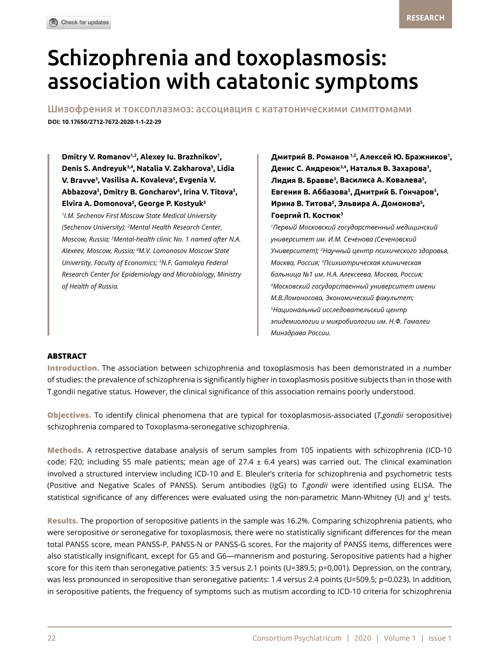# Schizophrenia and toxoplasmosis: association with catatonic symptoms

Шизофрения и токсоплазмоз: ассоциация с кататоническими симптомами **DOI: 10.17650/2712-7672-2020-1-1-22-29**

**Dmitry V. Romanov1,2, Alexey Iu. Brazhnikov1 , Denis S. Andreyuk3,4, Natalia V. Zakharova3 , Lidia V. Bravve3 , Vasilisa A. Kovaleva5 , Evgenia V. Abbazova5 , Dmitry B. Goncharov5 , Irina V. Titova5 , Elvira A. Domonova5 , George P. Kostyuk3**

**Гоергий П. Костюк** *<sup>1</sup>* **<sup>3</sup>** *I.M. Sechenov First Moscow State Medical University (Sechenov University); 2 Mental Health Research Center, Moscow, Russia; 3 Mental-health clinic No. 1 named after N.A. Aleхeev, Moscow, Russia; <sup>4</sup> M.V. Lomonosov Moscow State University, Faculty of Economics; 5 N.F. Gamaleya Federal Research Center for Epidemiology and Microbiology, Ministry of Health of Russia.* 

**Дмитрий В. Романов 1,2, Алексей Ю. Бражников<sup>1</sup> , Денис С. Андреюк3,4, Наталья В. Захарова<sup>3</sup> , Лидия В. Бравве<sup>3</sup> , Василиса А. Ковалева<sup>5</sup> , Евгения В. Аббазова<sup>5</sup> , Дмитрий Б. Гончаров<sup>5</sup> , Ирина В. Титова<sup>5</sup> , Эльвира А. Домонова<sup>5</sup> ,** 

*1 Первый Московский государственный медицинский университет им. И.М. Сеченова (Сеченовский Университет); <sup>2</sup> Научный центр психического здоровья, Москва, Россия; <sup>3</sup> Психиатрическая клиническая больница №1 им. Н.А. Алексеева, Москва, Россия; 4 Московский государственный университет имени М.В.Ломоносова, Экономический факультет; 5 Национальный исследовательский центр эпидемиологии и микробиологии им. Н.Ф. Гамалеи Минздрава России.*

## **ABSTRACT**

**Introduction.** The association between schizophrenia and toxoplasmosis has been demonstrated in a number of studies: the prevalence of schizophrenia is significantly higher in toxoplasmosis positive subjects than in those with T.gondii negative status. However, the clinical significance of this association remains poorly understood.

**Objectives.** To identify clinical phenomena that are typical for toxoplasmosis-associated (*T.gondii* seropositive) schizophrenia compared to Toxoplasma-seronegative schizophrenia.

**Methods.** A retrospective database analysis of serum samples from 105 inpatients with schizophrenia (ICD-10 code: F20; including 55 male patients; mean age of  $27.4 \pm 6.4$  years) was carried out. The clinical examination involved a structured interview including ICD-10 and E. Bleuler's criteria for schizophrenia and psychometric tests (Positive and Negative Scales of PANSS). Serum antibodies (IgG) to *T.gondii* were identified using ELISA. The statistical significance of any differences were evaluated using the non-parametric Mann-Whitney (U) and  $\chi^2$  tests.

**Results.** The proportion of seropositive patients in the sample was 16.2%. Comparing schizophrenia patients, who were seropositive or seronegative for toxoplasmosis, there were no statistically significant differences for the mean total PANSS score, mean PANSS-P, PANSS-N or PANSS-G scores. For the majority of PANSS items, differences were also statistically insignificant, except for G5 and G6—mannerism and posturing. Seropositive patients had a higher score for this item than seronegative patients: 3.5 versus 2.1 points (U=389.5; p=0.001). Depression, on the contrary, was less pronounced in seropositive than seronegative patients: 1.4 versus 2.4 points (U=509.5; p=0.023). In addition, in seropositive patients, the frequency of symptoms such as mutism according to ICD-10 criteria for schizophrenia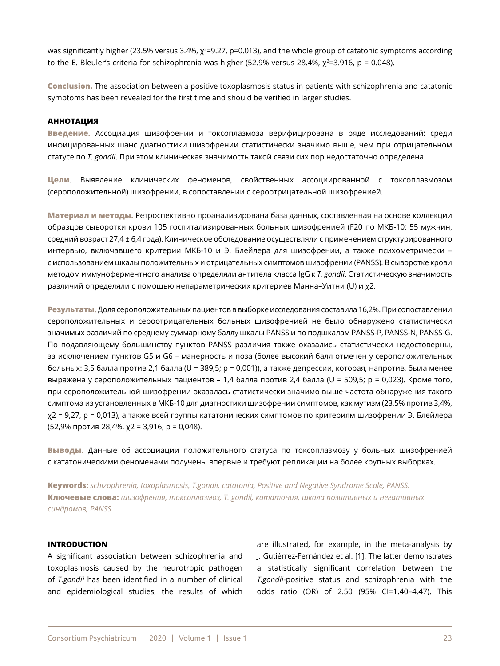was significantly higher (23.5% versus 3.4%, χ²=9.27, p=0.013), and the whole group of catatonic symptoms according to the E. Bleuler's criteria for schizophrenia was higher (52.9% versus 28.4%,  $\chi^2$ =3.916, p = 0.048).

**Conclusion.** The association between a positive toxoplasmosis status in patients with schizophrenia and catatonic symptoms has been revealed for the first time and should be verified in larger studies.

#### **АННОТАЦИЯ**

**Введение.** Ассоциация шизофрении и токсоплазмоза верифицирована в ряде исследований: среди инфицированных шанс диагностики шизофрении статистически значимо выше, чем при отрицательном статусе по *T. gondii*. При этом клиническая значимость такой связи сих пор недостаточно определена.

**Цели**. Выявление клинических феноменов, свойственных ассоциированной с токсоплазмозом (сероположительной) шизофрении, в сопоставлении с сероотрицательной шизофренией.

**Материал и методы.** Ретроспективно проанализирована база данных, составленная на основе коллекции образцов сыворотки крови 105 госпитализированных больных шизофренией (F20 по МКБ-10; 55 мужчин, средний возраст 27,4 ± 6,4 года). Клиническое обследование осуществляли с применением структурированного интервью, включавшего критерии МКБ-10 и Э. Блейлера для шизофрении, а также психометрически – с использованием шкалы положительных и отрицательных симптомов шизофрении (PANSS). В сыворотке крови методом иммуноферментного анализа определяли антитела класса IgG к *T. gondii*. Статистическую значимость различий определяли с помощью непараметрических критериев Манна–Уитни (U) и χ2.

**Результаты.** Доля сероположительных пациентов в выборке исследования составила 16,2%. При сопоставлении сероположительных и сероотрицательных больных шизофренией не было обнаружено статистически значимых различий по среднему суммарному баллу шкалы PANSS и по подшкалам PANSS-Р, PANSS-N, PANSS-G. По подавляющему большинству пунктов PANSS различия также оказались статистически недостоверны, за исключением пунктов G5 и G6 – манерность и поза (более высокий балл отмечен у сероположительных больных: 3,5 балла против 2,1 балла (U = 389,5; р = 0,001)), а также депрессии, которая, напротив, была менее выражена у сероположительных пациентов – 1,4 балла против 2,4 балла (U = 509,5; р = 0,023). Кроме того, при сероположительной шизофрении оказалась статистически значимо выше частота обнаружения такого симптома из установленных в МКБ-10 для диагностики шизофрении симптомов, как мутизм (23,5% против 3,4%, χ2 = 9,27, р = 0,013), а также всей группы кататонических симптомов по критериям шизофрении Э. Блейлера (52,9% против 28,4%, χ2 = 3,916, р = 0,048).

**Выводы.** Данные об ассоциации положительного статуса по токсоплазмозу у больных шизофренией с кататоническими феноменами получены впервые и требуют репликации на более крупных выборках.

**Keywords:** *schizophrenia, toxoplasmosis, T.gondii, catatonia, Positive and Negative Syndrome Scale, PANSS.* **Ключевые слова:** *шизофрения, токсоплазмоз, T. gondii, кататония, шкала позитивных и негативных синдромов, PANSS*

# **INTRODUCTION**

A significant association between schizophrenia and toxoplasmosis caused by the neurotropic pathogen of *T.gondii* has been identified in a number of clinical and epidemiological studies, the results of which are illustrated, for example, in the meta-analysis by J. Gutiérrez-Fernández et al. [1]. The latter demonstrates a statistically significant correlation between the *T.gondii*-positive status and schizophrenia with the odds ratio (OR) of 2.50 (95% CI=1.40–4.47). This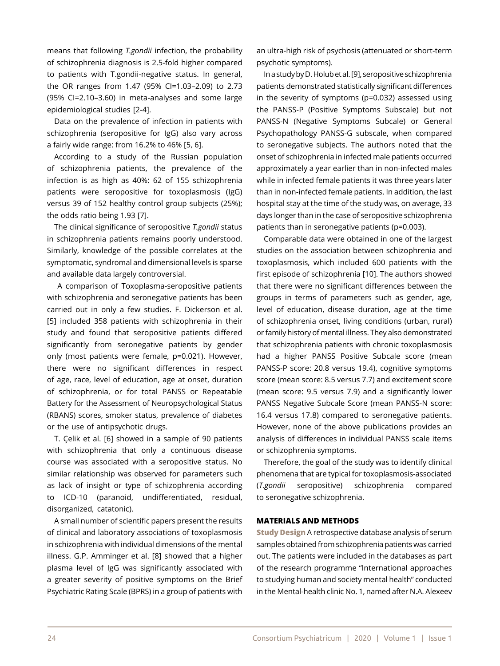means that following *T.gondii* infection, the probability of schizophrenia diagnosis is 2.5-fold higher compared to patients with T.gondii-negative status. In general, the OR ranges from 1.47 (95% CI=1.03–2.09) to 2.73 (95% CI=2.10–3.60) in meta-analyses and some large epidemiological studies [2-4].

Data on the prevalence of infection in patients with schizophrenia (seropositive for IgG) also vary across a fairly wide range: from 16.2% to 46% [5, 6].

According to a study of the Russian population of schizophrenia patients, the prevalence of the infection is as high as 40%: 62 of 155 schizophrenia patients were seropositive for toxoplasmosis (IgG) versus 39 of 152 healthy control group subjects (25%); the odds ratio being 1.93 [7].

The clinical significance of seropositive *T.gondii* status in schizophrenia patients remains poorly understood. Similarly, knowledge of the possible correlates at the symptomatic, syndromal and dimensional levels is sparse and available data largely controversial.

 A comparison of Toxoplasma-seropositive patients with schizophrenia and seronegative patients has been carried out in only a few studies. F. Dickerson et al. [5] included 358 patients with schizophrenia in their study and found that seropositive patients differed significantly from seronegative patients by gender only (most patients were female, p=0.021). However, there were no significant differences in respect of age, race, level of education, age at onset, duration of schizophrenia, or for total PANSS or Repeatable Battery for the Assessment of Neuropsychological Status (RBANS) scores, smoker status, prevalence of diabetes or the use of antipsychotic drugs.

T. Çelik et al. [6] showed in a sample of 90 patients with schizophrenia that only a continuous disease course was associated with a seropositive status. No similar relationship was observed for parameters such as lack of insight or type of schizophrenia according to ICD-10 (paranoid, undifferentiated, residual, disorganized, catatonic).

A small number of scientific papers present the results of clinical and laboratory associations of toxoplasmosis in schizophrenia with individual dimensions of the mental illness. G.P. Amminger et al. [8] showed that a higher plasma level of IgG was significantly associated with a greater severity of positive symptoms on the Brief Psychiatric Rating Scale (BPRS) in a group of patients with an ultra-high risk of psychosis (attenuated or short-term psychotic symptoms).

In a study by D. Holub et al. [9], seropositive schizophrenia patients demonstrated statistically significant differences in the severity of symptoms (p=0.032) assessed using the PANSS-P (Positive Symptoms Subscale) but not PANSS-N (Negative Symptoms Subcale) or General Psychopathology PANSS-G subscale, when compared to seronegative subjects. The authors noted that the onset of schizophrenia in infected male patients occurred approximately a year earlier than in non-infected males while in infected female patients it was three years later than in non-infected female patients. In addition, the last hospital stay at the time of the study was, on average, 33 days longer than in the case of seropositive schizophrenia patients than in seronegative patients (p=0.003).

Comparable data were obtained in one of the largest studies on the association between schizophrenia and toxoplasmosis, which included 600 patients with the first episode of schizophrenia [10]. The authors showed that there were no significant differences between the groups in terms of parameters such as gender, age, level of education, disease duration, age at the time of schizophrenia onset, living conditions (urban, rural) or family history of mental illness. They also demonstrated that schizophrenia patients with chronic toxoplasmosis had a higher PANSS Positive Subcale score (mean PANSS-P score: 20.8 versus 19.4), cognitive symptoms score (mean score: 8.5 versus 7.7) and excitement score (mean score: 9.5 versus 7.9) and a significantly lower PANSS Negative Subcale Score (mean PANSS-N score: 16.4 versus 17.8) compared to seronegative patients. However, none of the above publications provides an analysis of differences in individual PANSS scale items or schizophrenia symptoms.

Therefore, the goal of the study was to identify clinical phenomena that are typical for toxoplasmosis-associated (*T.gondii* seropositive) schizophrenia compared to seronegative schizophrenia.

# **MATERIALS AND METHODS**

**Study Design** A retrospective database analysis of serum samples obtained from schizophrenia patients was carried out. The patients were included in the databases as part of the research programme "International approaches to studying human and society mental health" conducted in the Mental-health clinic No. 1, named after N.A. Alexeev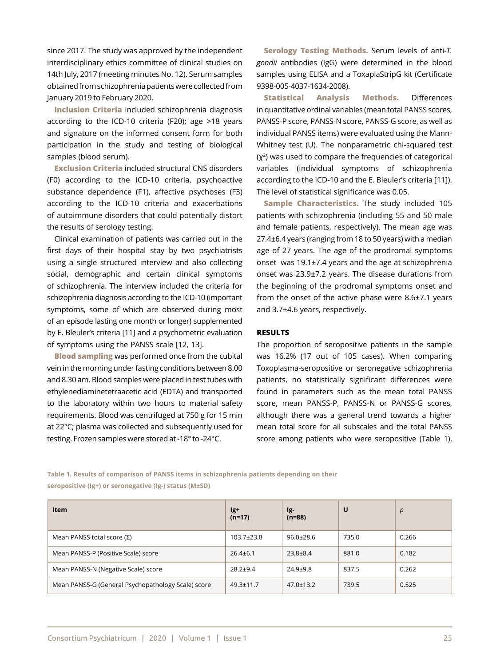since 2017. The study was approved by the independent interdisciplinary ethics committee of clinical studies on 14th July, 2017 (meeting minutes No. 12). Serum samples obtained from schizophrenia patients were collected from January 2019 to February 2020.

**Inclusion Criteria** included schizophrenia diagnosis according to the ICD-10 criteria (F20); age >18 years and signature on the informed consent form for both participation in the study and testing of biological samples (blood serum).

**Exclusion Criteria** included structural CNS disorders (F0) according to the ICD-10 criteria, psychoactive substance dependence (F1), affective psychoses (F3) according to the ICD-10 criteria and exacerbations of autoimmune disorders that could potentially distort the results of serology testing.

Clinical examination of patients was carried out in the first days of their hospital stay by two psychiatrists using a single structured interview and also collecting social, demographic and certain clinical symptoms of schizophrenia. The interview included the criteria for schizophrenia diagnosis according to the ICD-10 (important symptoms, some of which are observed during most of an episode lasting one month or longer) supplemented by E. Bleuler's criteria [11] and a psychometric evaluation of symptoms using the PANSS scale [12, 13].

**Blood sampling** was performed once from the cubital vein in the morning under fasting conditions between 8.00 and 8.30 am. Blood samples were placed in test tubes with ethylenediaminetetraacetic acid (EDTA) and transported to the laboratory within two hours to material safety requirements. Blood was centrifuged at 750 g for 15 min at 22°С; plasma was collected and subsequently used for testing. Frozen samples were stored at -18° to -24°C.

**Serology Testing Methods.** Serum levels of anti-*T. gondii* antibodies (IgG) were determined in the blood samples using ELISA and a ToxaplaStripG kit (Certificate 9398-005-4037-1634-2008).

**Statistical Analysis Methods.** Differences in quantitative ordinal variables (mean total PANSS scores, PANSS-P score, PANSS-N score, PANSS-G score, as well as individual PANSS items) were evaluated using the Mann-Whitney test (U). The nonparametric chi-squared test  $(x^2)$  was used to compare the frequencies of categorical variables (individual symptoms of schizophrenia according to the ICD-10 and the E. Bleuler's criteria [11]). The level of statistical significance was 0.05.

**Sample Characteristics.** The study included 105 patients with schizophrenia (including 55 and 50 male and female patients, respectively). The mean age was 27.4±6.4 years (ranging from 18 to 50 years) with a median age of 27 years. The age of the prodromal symptoms onset was 19.1±7.4 years and the age at schizophrenia onset was 23.9±7.2 years. The disease durations from the beginning of the prodromal symptoms onset and from the onset of the active phase were 8.6±7.1 years and 3.7±4.6 years, respectively.

#### **RESULTS**

The proportion of seropositive patients in the sample was 16.2% (17 out of 105 cases). When comparing Toxoplasma-seropositive or seronegative schizophrenia patients, no statistically significant differences were found in parameters such as the mean total PANSS score, mean PANSS-P, PANSS-N or PANSS-G scores, although there was a general trend towards a higher mean total score for all subscales and the total PANSS score among patients who were seropositive (Table 1).

**Table 1. Results of comparison of PANSS items in schizophrenia patients depending on their seropositive (Ig+) or seronegative (Ig-) status (М±SD)**

| Item                                               | lg+<br>$(n=17)$  | lg-<br>$(n=88)$ | U     | p     |
|----------------------------------------------------|------------------|-----------------|-------|-------|
| Mean PANSS total score $(\Sigma)$                  | $103.7 \pm 23.8$ | $96.0 \pm 28.6$ | 735.0 | 0.266 |
| Mean PANSS-P (Positive Scale) score                | $26.4 \pm 6.1$   | $23.8 \pm 8.4$  | 881.0 | 0.182 |
| Mean PANSS-N (Negative Scale) score                | $28.2 \pm 9.4$   | $24.9 + 9.8$    | 837.5 | 0.262 |
| Mean PANSS-G (General Psychopathology Scale) score | $49.3 \pm 11.7$  | $47.0 \pm 13.2$ | 739.5 | 0.525 |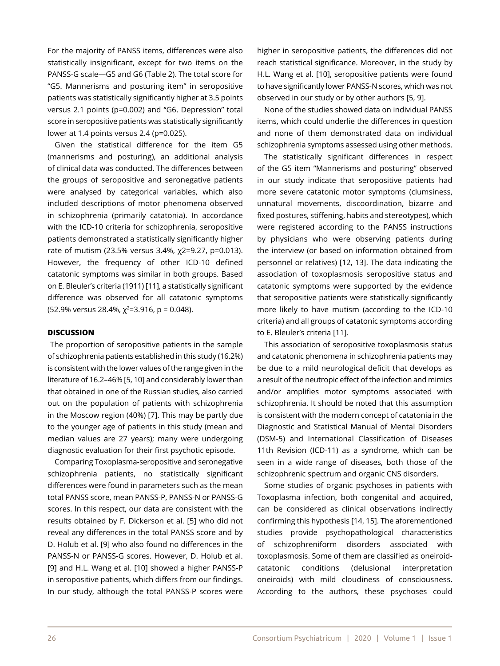For the majority of PANSS items, differences were also statistically insignificant, except for two items on the PANSS-G scale—G5 and G6 (Table 2). The total score for "G5. Mannerisms and posturing item" in seropositive patients was statistically significantly higher at 3.5 points versus 2.1 points (p=0.002) and "G6. Depression" total score in seropositive patients was statistically significantly lower at 1.4 points versus 2.4 (p=0.025).

Given the statistical difference for the item G5 (mannerisms and posturing), an additional analysis of clinical data was conducted. The differences between the groups of seropositive and seronegative patients were analysed by categorical variables, which also included descriptions of motor phenomena observed in schizophrenia (primarily catatonia). In accordance with the ICD-10 criteria for schizophrenia, seropositive patients demonstrated a statistically significantly higher rate of mutism (23.5% versus 3.4%, χ2=9.27, р=0.013). However, the frequency of other ICD-10 defined catatonic symptoms was similar in both groups. Based on E. Bleuler's criteria (1911) [11], a statistically significant difference was observed for all catatonic symptoms (52.9% versus 28.4%,  $\chi^2$ =3.916, p = 0.048).

## **DISCUSSION**

 The proportion of seropositive patients in the sample of schizophrenia patients established in this study (16.2%) is consistent with the lower values of the range given in the literature of 16.2–46% [5, 10] and considerably lower than that obtained in one of the Russian studies, also carried out on the population of patients with schizophrenia in the Moscow region (40%) [7]. This may be partly due to the younger age of patients in this study (mean and median values are 27 years); many were undergoing diagnostic evaluation for their first psychotic episode.

Comparing Toxoplasma-seropositive and seronegative schizophrenia patients, no statistically significant differences were found in parameters such as the mean total PANSS score, mean PANSS-P, PANSS-N or PANSS-G scores. In this respect, our data are consistent with the results obtained by F. Dickerson et al. [5] who did not reveal any differences in the total PANSS score and by D. Holub et al. [9] who also found no differences in the PANSS-N or PANSS-G scores. However, D. Holub et al. [9] and H.L. Wang et al. [10] showed a higher PANSS-P in seropositive patients, which differs from our findings. In our study, although the total PANSS-P scores were

higher in seropositive patients, the differences did not reach statistical significance. Moreover, in the study by H.L. Wang et al. [10], seropositive patients were found to have significantly lower PANSS-N scores, which was not observed in our study or by other authors [5, 9].

None of the studies showed data on individual PANSS items, which could underlie the differences in question and none of them demonstrated data on individual schizophrenia symptoms assessed using other methods.

The statistically significant differences in respect of the G5 item "Mannerisms and posturing" observed in our study indicate that seropositive patients had more severe catatonic motor symptoms (clumsiness, unnatural movements, discoordination, bizarre and fixed postures, stiffening, habits and stereotypes), which were registered according to the PANSS instructions by physicians who were observing patients during the interview (or based on information obtained from personnel or relatives) [12, 13]. The data indicating the association of toxoplasmosis seropositive status and catatonic symptoms were supported by the evidence that seropositive patients were statistically significantly more likely to have mutism (according to the ICD-10 criteria) and all groups of catatonic symptoms according to E. Bleuler's criteria [11].

This association of seropositive toxoplasmosis status and catatonic phenomena in schizophrenia patients may be due to a mild neurological deficit that develops as a result of the neutropic effect of the infection and mimics and/or amplifies motor symptoms associated with schizophrenia. It should be noted that this assumption is consistent with the modern concept of catatonia in the Diagnostic and Statistical Manual of Mental Disorders (DSM-5) and International Classification of Diseases 11th Revision (ICD-11) as a syndrome, which can be seen in a wide range of diseases, both those of the schizophrenic spectrum and organic CNS disorders.

Some studies of organic psychoses in patients with Toxoplasma infection, both congenital and acquired, can be considered as clinical observations indirectly confirming this hypothesis [14, 15]. The aforementioned studies provide psychopathological characteristics of schizophreniform disorders associated with toxoplasmosis. Some of them are classified as oneiroidcatatonic conditions (delusional interpretation oneiroids) with mild cloudiness of consciousness. According to the authors, these psychoses could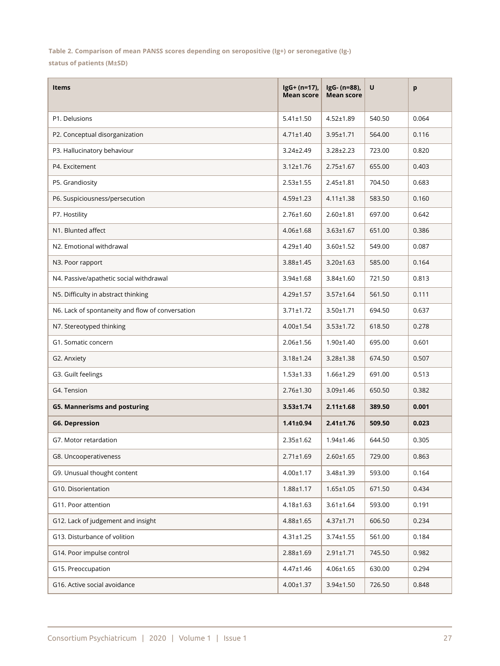**Table 2. Comparison of mean PANSS scores depending on seropositive (Ig+) or seronegative (Ig-) status of patients (М±SD)**

| <b>Items</b>                                     | $lgG + (n=17)$ ,<br><b>Mean score</b> | IgG- (n=88),<br><b>Mean score</b> | U      | p     |
|--------------------------------------------------|---------------------------------------|-----------------------------------|--------|-------|
| P1. Delusions                                    | $5.41 \pm 1.50$                       | $4.52 \pm 1.89$                   | 540.50 | 0.064 |
| P2. Conceptual disorganization                   | $4.71 \pm 1.40$                       | $3.95 \pm 1.71$                   | 564.00 | 0.116 |
| P3. Hallucinatory behaviour                      | $3.24 \pm 2.49$                       | $3.28 \pm 2.23$                   | 723.00 | 0.820 |
| P4. Excitement                                   | $3.12 \pm 1.76$                       | $2.75 \pm 1.67$                   | 655.00 | 0.403 |
| P5. Grandiosity                                  | $2.53 \pm 1.55$                       | $2.45 \pm 1.81$                   | 704.50 | 0.683 |
| P6. Suspiciousness/persecution                   | $4.59 \pm 1.23$                       | $4.11 \pm 1.38$                   | 583.50 | 0.160 |
| P7. Hostility                                    | $2.76 \pm 1.60$                       | $2.60 \pm 1.81$                   | 697.00 | 0.642 |
| N1. Blunted affect                               | $4.06 \pm 1.68$                       | $3.63 \pm 1.67$                   | 651.00 | 0.386 |
| N2. Emotional withdrawal                         | $4.29 \pm 1.40$                       | $3.60 \pm 1.52$                   | 549.00 | 0.087 |
| N3. Poor rapport                                 | $3.88 \pm 1.45$                       | $3.20 \pm 1.63$                   | 585.00 | 0.164 |
| N4. Passive/apathetic social withdrawal          | $3.94 \pm 1.68$                       | $3.84 \pm 1.60$                   | 721.50 | 0.813 |
| N5. Difficulty in abstract thinking              | $4.29 \pm 1.57$                       | $3.57 \pm 1.64$                   | 561.50 | 0.111 |
| N6. Lack of spontaneity and flow of conversation | $3.71 \pm 1.72$                       | $3.50 \pm 1.71$                   | 694.50 | 0.637 |
| N7. Stereotyped thinking                         | $4.00 \pm 1.54$                       | $3.53 \pm 1.72$                   | 618.50 | 0.278 |
| G1. Somatic concern                              | $2.06 \pm 1.56$                       | $1.90 \pm 1.40$                   | 695.00 | 0.601 |
| G2. Anxiety                                      | $3.18 \pm 1.24$                       | $3.28 \pm 1.38$                   | 674.50 | 0.507 |
| G3. Guilt feelings                               | $1.53 \pm 1.33$                       | $1.66 \pm 1.29$                   | 691.00 | 0.513 |
| G4. Tension                                      | $2.76 \pm 1.30$                       | $3.09 \pm 1.46$                   | 650.50 | 0.382 |
| <b>G5. Mannerisms and posturing</b>              | $3.53 \pm 1.74$                       | $2.11 \pm 1.68$                   | 389.50 | 0.001 |
| <b>G6. Depression</b>                            | $1.41 \pm 0.94$                       | $2.41 \pm 1.76$                   | 509.50 | 0.023 |
| G7. Motor retardation                            | $2.35 \pm 1.62$                       | $1.94 \pm 1.46$                   | 644.50 | 0.305 |
| G8. Uncooperativeness                            | 2.71±1.69                             | $2.60 \pm 1.65$                   | 729.00 | 0.863 |
| G9. Unusual thought content                      | $4.00 \pm 1.17$                       | 3.48±1.39                         | 593.00 | 0.164 |
| G10. Disorientation                              | $1.88 + 1.17$                         | $1.65 \pm 1.05$                   | 671.50 | 0.434 |
| G11. Poor attention                              | $4.18 \pm 1.63$                       | $3.61 \pm 1.64$                   | 593.00 | 0.191 |
| G12. Lack of judgement and insight               | $4.88 \pm 1.65$                       | $4.37 \pm 1.71$                   | 606.50 | 0.234 |
| G13. Disturbance of volition                     | $4.31 \pm 1.25$                       | $3.74 \pm 1.55$                   | 561.00 | 0.184 |
| G14. Poor impulse control                        | $2.88 \pm 1.69$                       | $2.91 \pm 1.71$                   | 745.50 | 0.982 |
| G15. Preoccupation                               | $4.47 \pm 1.46$                       | $4.06 \pm 1.65$                   | 630.00 | 0.294 |
| G16. Active social avoidance                     | $4.00 \pm 1.37$                       | 3.94±1.50                         | 726.50 | 0.848 |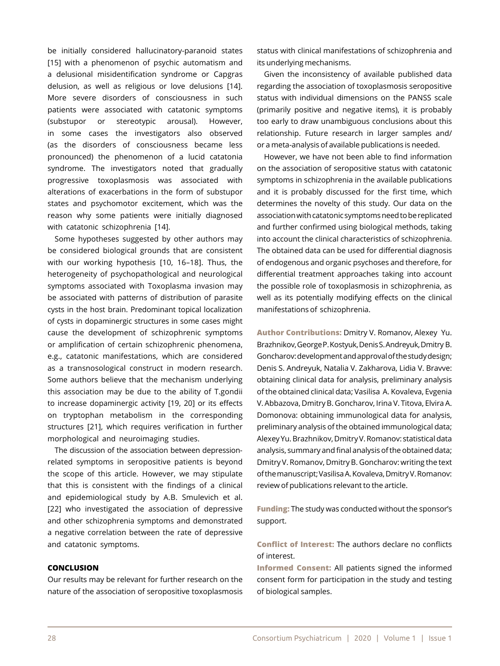be initially considered hallucinatory-paranoid states [15] with a phenomenon of psychic automatism and a delusional misidentification syndrome or Capgras delusion, as well as religious or love delusions [14]. More severe disorders of consciousness in such patients were associated with catatonic symptoms (substupor or stereotypic arousal). However, in some cases the investigators also observed (as the disorders of consciousness became less pronounced) the phenomenon of a lucid catatonia syndrome. The investigators noted that gradually progressive toxoplasmosis was associated with alterations of exacerbations in the form of substupor states and psychomotor excitement, which was the reason why some patients were initially diagnosed with catatonic schizophrenia [14].

Some hypotheses suggested by other authors may be considered biological grounds that are consistent with our working hypothesis [10, 16–18]. Thus, the heterogeneity of psychopathological and neurological symptoms associated with Toxoplasma invasion may be associated with patterns of distribution of parasite cysts in the host brain. Predominant topical localization of cysts in dopaminergic structures in some cases might cause the development of schizophrenic symptoms or amplification of certain schizophrenic phenomena, e.g., catatonic manifestations, which are considered as a transnosological construct in modern research. Some authors believe that the mechanism underlying this association may be due to the ability of T.gondii to increase dopaminergic activity [19, 20] or its effects on tryptophan metabolism in the corresponding structures [21], which requires verification in further morphological and neuroimaging studies.

The discussion of the association between depressionrelated symptoms in seropositive patients is beyond the scope of this article. However, we may stipulate that this is consistent with the findings of a clinical and epidemiological study by A.B. Smulevich et al. [22] who investigated the association of depressive and other schizophrenia symptoms and demonstrated a negative correlation between the rate of depressive and catatonic symptoms.

## **CONCLUSION**

Our results may be relevant for further research on the nature of the association of seropositive toxoplasmosis status with clinical manifestations of schizophrenia and its underlying mechanisms.

Given the inconsistency of available published data regarding the association of toxoplasmosis seropositive status with individual dimensions on the PANSS scale (primarily positive and negative items), it is probably too early to draw unambiguous conclusions about this relationship. Future research in larger samples and/ or a meta-analysis of available publications is needed.

However, we have not been able to find information on the association of seropositive status with catatonic symptoms in schizophrenia in the available publications and it is probably discussed for the first time, which determines the novelty of this study. Our data on the association with catatonic symptoms need to be replicated and further confirmed using biological methods, taking into account the clinical characteristics of schizophrenia. The obtained data can be used for differential diagnosis of endogenous and organic psychoses and therefore, for differential treatment approaches taking into account the possible role of toxoplasmosis in schizophrenia, as well as its potentially modifying effects on the clinical manifestations of schizophrenia.

**Author Contributions:** Dmitry V. Romanov, Alexey Yu. Brazhnikov, George P. Kostyuk, Denis S. Andreyuk, Dmitry B. Goncharov: development and approval of the study design; Denis S. Andreyuk, Natalia V. Zakharova, Lidia V. Bravve: obtaining clinical data for analysis, preliminary analysis of the obtained clinical data; Vasilisa A. Kovaleva, Evgenia V. Abbazova, Dmitry B. Goncharov, Irina V. Titova, Elvira A. Domonova: obtaining immunological data for analysis, preliminary analysis of the obtained immunological data; Alexey Yu. Brazhnikov, Dmitry V. Romanov: statistical data analysis, summary and final analysis of the obtained data; Dmitry V. Romanov, Dmitry B. Goncharov: writing the text of the manuscript; Vasilisa A. Kovaleva, Dmitry V. Romanov: review of publications relevant to the article.

**Funding:** The study was conducted without the sponsor's support.

**Conflict of Interest:** The authors declare no conflicts of interest.

**Informed Consent:** All patients signed the informed consent form for participation in the study and testing of biological samples.